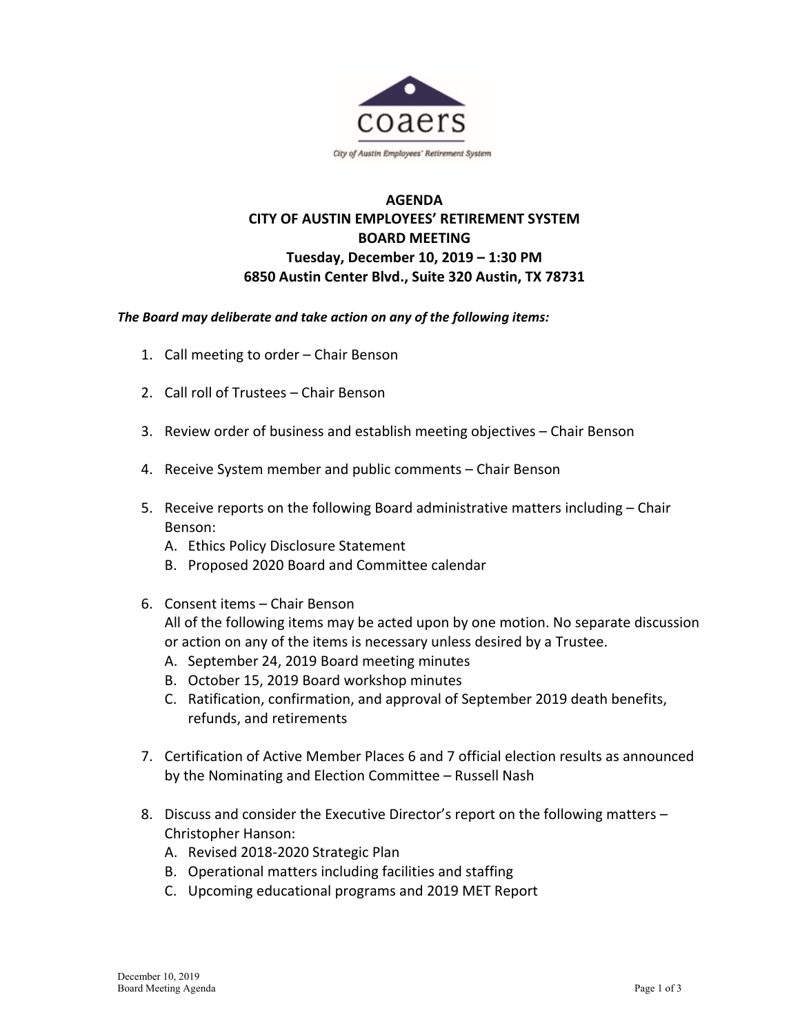

## **AGENDA CITY OF AUSTIN EMPLOYEES' RETIREMENT SYSTEM BOARD MEETING Tuesday, December 10, 2019 – 1:30 PM 6850 Austin Center Blvd., Suite 320 Austin, TX 78731**

## *The Board may deliberate and take action on any of the following items:*

- 1. Call meeting to order Chair Benson
- 2. Call roll of Trustees Chair Benson
- 3. Review order of business and establish meeting objectives Chair Benson
- 4. Receive System member and public comments Chair Benson
- 5. Receive reports on the following Board administrative matters including Chair Benson:
	- A. Ethics Policy Disclosure Statement
	- B. Proposed 2020 Board and Committee calendar
- 6. Consent items Chair Benson

All of the following items may be acted upon by one motion. No separate discussion or action on any of the items is necessary unless desired by a Trustee.

- A. September 24, 2019 Board meeting minutes
- B. October 15, 2019 Board workshop minutes
- C. Ratification, confirmation, and approval of September 2019 death benefits, refunds, and retirements
- 7. Certification of Active Member Places 6 and 7 official election results as announced by the Nominating and Election Committee – Russell Nash
- 8. Discuss and consider the Executive Director's report on the following matters Christopher Hanson:
	- A. Revised 2018‐2020 Strategic Plan
	- B. Operational matters including facilities and staffing
	- C. Upcoming educational programs and 2019 MET Report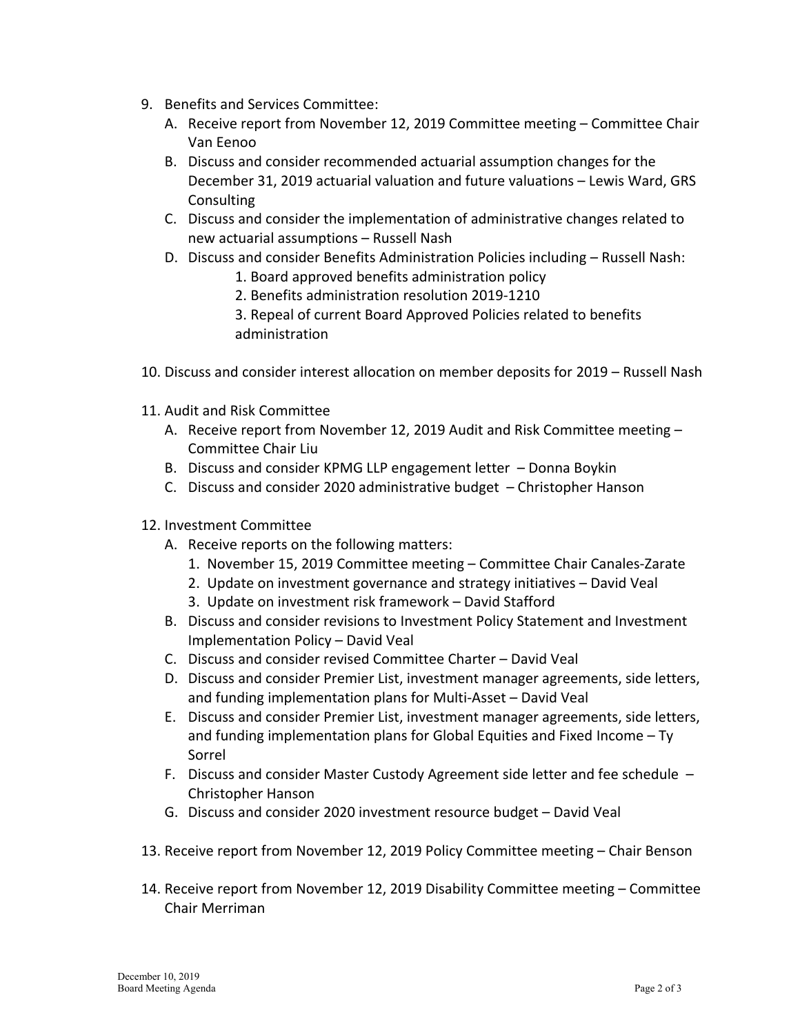- 9. Benefits and Services Committee:
	- A. Receive report from November 12, 2019 Committee meeting Committee Chair Van Eenoo
	- B. Discuss and consider recommended actuarial assumption changes for the December 31, 2019 actuarial valuation and future valuations – Lewis Ward, GRS **Consulting**
	- C. Discuss and consider the implementation of administrative changes related to new actuarial assumptions – Russell Nash
	- D. Discuss and consider Benefits Administration Policies including Russell Nash:
		- 1. Board approved benefits administration policy
		- 2. Benefits administration resolution 2019‐1210
		- 3. Repeal of current Board Approved Policies related to benefits administration
- 10. Discuss and consider interest allocation on member deposits for 2019 Russell Nash
- 11. Audit and Risk Committee
	- A. Receive report from November 12, 2019 Audit and Risk Committee meeting Committee Chair Liu
	- B. Discuss and consider KPMG LLP engagement letter Donna Boykin
	- C. Discuss and consider 2020 administrative budget Christopher Hanson
- 12. Investment Committee
	- A. Receive reports on the following matters:
		- 1. November 15, 2019 Committee meeting Committee Chair Canales‐Zarate
		- 2. Update on investment governance and strategy initiatives David Veal
		- 3. Update on investment risk framework David Stafford
	- B. Discuss and consider revisions to Investment Policy Statement and Investment Implementation Policy – David Veal
	- C. Discuss and consider revised Committee Charter David Veal
	- D. Discuss and consider Premier List, investment manager agreements, side letters, and funding implementation plans for Multi‐Asset – David Veal
	- E. Discuss and consider Premier List, investment manager agreements, side letters, and funding implementation plans for Global Equities and Fixed Income – Ty Sorrel
	- F. Discuss and consider Master Custody Agreement side letter and fee schedule Christopher Hanson
	- G. Discuss and consider 2020 investment resource budget David Veal
- 13. Receive report from November 12, 2019 Policy Committee meeting Chair Benson
- 14. Receive report from November 12, 2019 Disability Committee meeting Committee Chair Merriman